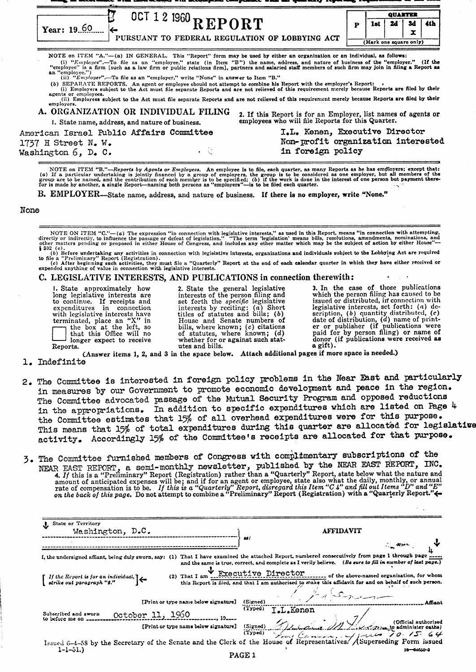| $0$ CT 12 1960 REPORT<br>Year: $19.60$                                                                                                                                                                                                                                                                                                                                                                                                                                                                                                                                                                                                                                                                                                                                                                                                                                                                                                                                                                                                                                                        |                                                                                                                    |   | QUARTER                |    |         |     |
|-----------------------------------------------------------------------------------------------------------------------------------------------------------------------------------------------------------------------------------------------------------------------------------------------------------------------------------------------------------------------------------------------------------------------------------------------------------------------------------------------------------------------------------------------------------------------------------------------------------------------------------------------------------------------------------------------------------------------------------------------------------------------------------------------------------------------------------------------------------------------------------------------------------------------------------------------------------------------------------------------------------------------------------------------------------------------------------------------|--------------------------------------------------------------------------------------------------------------------|---|------------------------|----|---------|-----|
|                                                                                                                                                                                                                                                                                                                                                                                                                                                                                                                                                                                                                                                                                                                                                                                                                                                                                                                                                                                                                                                                                               |                                                                                                                    | P | 1st                    | 24 | 3d<br>x | 4th |
| PURSUANT TO FEDERAL REGULATION OF LOBBYING ACT                                                                                                                                                                                                                                                                                                                                                                                                                                                                                                                                                                                                                                                                                                                                                                                                                                                                                                                                                                                                                                                |                                                                                                                    |   | (Mark one square only) |    |         |     |
| NOTE on ITEM "A."— $(a)$ IN GENERAL. This "Report" form may be used by either an organization or an individual, as follows:<br>(i) " $Emplayer$ .-To file as an "employee," state (in Item "B") the name, address, and nature of business of the "employer." (If the<br>"employee" is a firm [such as a law firm or public relations firm], partners and salaried staff members of such firm may join in filing a Report as<br>an "employee.")<br>(ii) " $Emplayer$ ".—To file as an "employer." write "None" in answer to Item "B."<br>(b) SEPARATE REPORTS. An agent or employee should not attempt to combine his Report with the employer's Report:<br>(i) Employers subject to the Act must file separate Reports and are not relieved of this requirement merely because Reports are filed by their<br>agents or employees.<br>(ii) Employees subject to the Act must file separate Reports and are not relieved of this requirement merely because Reports are filed by their<br>employers.<br>A. ORGANIZATION OR INDIVIDUAL FILING<br>1. State name, address, and nature of business. | 2. If this Report is for an Employer, list names of agents or<br>employees who will file Reports for this Quarter. |   |                        |    |         |     |
| American Israel Public Affairs Committee<br>1737 H Street N. W.<br>Washington $6$ , $D_e$ $C_e$                                                                                                                                                                                                                                                                                                                                                                                                                                                                                                                                                                                                                                                                                                                                                                                                                                                                                                                                                                                               | I.L. Kenen, Executive Director<br>Non-profit organization interested<br>in foreign policy                          |   |                        |    |         |     |

NOTE on ITEM "B."—Reports by Agents or Employees. An employee is to file, each quarter, as many Reports as he has employers; except that:<br>(a) If a particular undertaking is jointly financed by a group of employers, the gr

B. EMPLOYER-State name, address, and nature of business. If there is no employer, write "None."

### None

NOTE ON ITEM "C."—(a) The expression "in connection with legislative interests," as used in this Report, means "in connection with attempting, directly or indirectly, to influence the passage or defeat of legislation." "T

(b) Before undertaking any activities in connection with legislative interests, organizations and individuals subject to the Lobbying Act are required<br>to file a "Preliminary" Report (Registration).<br>(c) After beginning suc

#### C. LEGISLATIVE INTERESTS, AND PUBLICATIONS in connection therewith:

I. State approximately how 2. State the general legislative 3. In the case of those publications long legislative interests are interests of the person filing and which the person filing has caused to be to continue. If receipts and set forth the *specific* legislative issued or distributed, in connection with expenditures in connection interests by reciting: (a) Short legislative interests, set forth: (a) dewith legislati expenditures in connection interests by reciting: (a) Short legislative interests, set forth: (a) de-<br>with legislative interests have titles of statutes and bills; (b) scription, (b) quantity distributed, (c)<br>terminated,

(Answer items 1, 2, and 3 in the space below. Attach additional pages if more space is needed.)

# 1. Indefinite

- 2. The Committee is interested in foreign policy problems in the Near East and particularly in measures by our Government to promote economic developnent and peace in the region. The Committee advocated passage of the Mutual Security Program and opposed reductions in the appropriations. In addition to specific expenditures which are listed on Page 4 the Committee estimates that 15% of all overhead expenditures were for this purpose. This means that *15%* of total expenditures during this quarter are allocated for legislative activity. Accordingly 15% of the Committee's receipts are allocated for that purpose.
- 3. The Committee furnished members of Congress with complimentary subscriptions of the NEAR EAST REPORT, a semi-monthly newsletter, published by the NEAR EAST REPORT, INC. 4. If this is a "Preliminary" Report (Registration) rather than a "Quarterly" Report, state below what the nature and amount of anticipated expenses will be; and if for an agent or employee, state also what the daily, monthly, or annual<br>rate of compensation is to be. If this is a "Quarterly" Report, disregard this Item "C4" and fill out I on the back of this page. Do not attempt to combine a "Preliminary" Report (Registration) with a "Quarterly Report."

| State or Territory<br>Washington, D.C.                                                                              | <b>AFFIDAVIT</b><br>28.<br>$\mathcal{L} = \mathcal{L} \mathcal{L} \mathcal{L}$                                                                                                                          |
|---------------------------------------------------------------------------------------------------------------------|---------------------------------------------------------------------------------------------------------------------------------------------------------------------------------------------------------|
| I, the undersigned affiant, being duly sworn, say: (1)                                                              | That I have examined the attached Report, numbered consecutively from page 1 through page<br>and the same is true, correct, and complete as I verily believe. (Be sure to fill in number of last page.) |
| $(2)$ That I am<br>$\begin{bmatrix} If the Report is for an individual, \\ strike out paragraph "s." \end{bmatrix}$ | Executive Director<br>of the above-named organization, for whom<br>this Report is filed, and that I am authorized to make this affidavit for and on behalf of such person.                              |
| [Print or type name below signature]                                                                                | (Signed)<br>Affiant                                                                                                                                                                                     |
| October 11, 1960<br>Subscribed and sworn<br>to before me on                                                         | (Typed)<br><b>T.L.Kenen</b>                                                                                                                                                                             |
| [Print or type name below signature]                                                                                | (Signed)<br>(Signed) Advance M1 All Constants to administer oaths)<br>(Typed) Front Convention All Four 10 15 64                                                                                        |
|                                                                                                                     | Issued 6-4-58 by the Secretary of the Senate and the Clerk of the House of Representatives. / Superseding Form issued                                                                                   |
| $1 - 1 - 51$ .)                                                                                                     | $16 - 64670 - 3$<br><b>PAGE 1</b>                                                                                                                                                                       |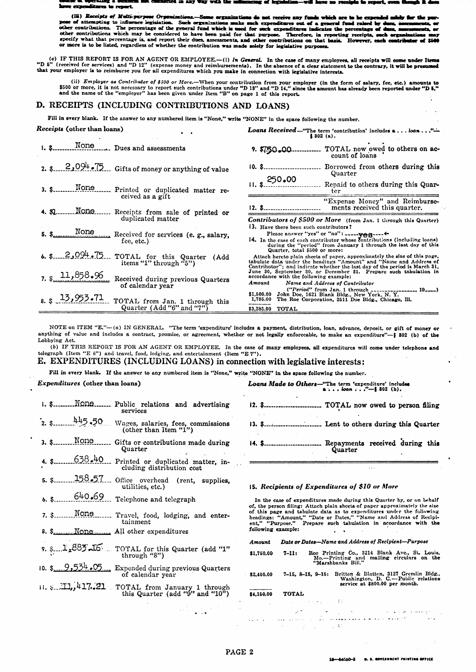Ĵю.  $\mathbf{m}$ res to res

(iii) Receipts of Multi-perpe - 0-the present of attempting to infinence legislation. Such organizations make such streamed out of a general fund raised by dues, asset of a general fund raised by dues, asset of a general fund raised by dues, asset of the g  $\overline{a}$  or ندسمة specify what that percentage is, and report their dues, assessments, and other contributions on that basis. However, each co stributor of \$500 or more is to be listed, regardless of whether the contribution was made solely for legislative purposes.

(c) IF THIS REPORT IS FOR AN AGENT OR EMPLOYEE.—(i) In General. In the case of many employees, all receipts will come under Items "D 5" (received for services) and "D 12" (expense money and reimbursements). In the absence that your employer is to reimburse you for all expenditures which you make in connection with legislative interests.

(ii) *Employer* as *Contributor of \$500 or More*.—When your contribution from your employer (in the form of salary, fee, etc.) amounts to \$500 or more, it is not necessary to report such contributions under "D 18" and "D

## D. RECEIPTS (INCLUDING CONTRIBUTIONS AND LOANS)

Fill in every blank. If the answer to any numbered item is "None," write "NONE" in the space following the number.

| Receipts (other than loans)                                                      | <b>Loans Received</b> -"The term 'contribution' includes $a \dots \log a \dots$ "-<br>$$802$ (a).                                                                                                                                                                                                                                                |  |  |
|----------------------------------------------------------------------------------|--------------------------------------------------------------------------------------------------------------------------------------------------------------------------------------------------------------------------------------------------------------------------------------------------------------------------------------------------|--|--|
|                                                                                  | TOTAL now owed to others on ac-<br>9. \$750.00.<br>count of loans                                                                                                                                                                                                                                                                                |  |  |
| 2. $\frac{2.2094}{100}$ . Gifts of money or anything of value                    | 10. \$ Borrowed from others during this<br>Quarter                                                                                                                                                                                                                                                                                               |  |  |
| 3. \$ None Printed or duplicated matter re-<br>ceived as a gift                  | $11. \, \text{s}$ 250.00<br>Repaid to others during this Quar-<br>ter                                                                                                                                                                                                                                                                            |  |  |
| 4. M. NODO Receipts from sale of printed or                                      | "Expense Money" and Reimburse-<br>ments received this quarter.<br>12. \$                                                                                                                                                                                                                                                                         |  |  |
| duplicated matter<br>fee, etc.)                                                  | Contributors of \$500 or More (from Jan. 1 through this Quarter)<br>13. Have there been such contributors?<br>Please answer "yes" or "no": _____veg-----<br><b>14.</b> In the case of each contributor whose contributions (including loans)<br>during the "period" from January 1 through the last day of this<br>Quarter, total \$500 or more: |  |  |
| 6. $\frac{2,094.75}{}$ TOTAL for this Quarter (Add items "1" through "5")        | Attach hereto plain sheets of paper, approximately the size of this page,<br>tabulate data under the headings "Amount" and "Name and Address of<br>Contributor"; and indicate whether the last day of the period is March 31.                                                                                                                    |  |  |
| 7. \$ $1,958.96$ Received during previous Quarters<br>of calendar year           | June 30, September 30, or December 31. Prepare such tabulation in<br>accordance with the following example:<br>Amount Name and Address of Contributor<br>$("Period" from Jan. 1 through \dots \dots \dots \dots \dots \dots \dots)$                                                                                                              |  |  |
| 8. $3 \t15.953.71$ TOTAL from Jan. 1 through this<br>Quarter $(Add "6" and "7")$ | \$1,500.00 John Doe, 1621 Blank Bldg., New York, N.Y.<br>1,785.00 The Roe Corporation, 2511 Doe Bldg., Chicago, Ill.<br>\$3.285.00 TOTAL                                                                                                                                                                                                         |  |  |

NOTE on ITEM "E."--(a) IN GENERAL. "The term 'expenditure' includes a payment, distribution, loan, advance, deposit, or gift of money or anything of value and includes a contract, promise, or agreement, whether or not legally enforceable, to make an expenditure"-§ 802 (b) of the Lobbying Act.

(b) IF THIS REPORT IS FOR AN AGENT OR EMPLOYEE. In the case of many employees, all expenditures will come under telephone and telegraph (Item "E 6") and travel, food, lodging, and entertainment (Item "E  $7$ ").

E. EXPENDITURES (INCLUDING LOANS) in connection with legislative interests:

Fill in every blank. If the answer to any numbered item is "None," write "NONE" in the space following the number.

#### Expenditures (other than loans)

| <u>1. \$None</u>   | Public relations and advertising<br>services                                                                       |
|--------------------|--------------------------------------------------------------------------------------------------------------------|
| $\frac{445.50}{ }$ | Wages, salaries, fees, commissions<br>(other than Item " $1$ ")                                                    |
| 3. \$None          | Gifts or contributions made during<br>Quarter                                                                      |
| 4. $$ 638.40$      | Printed or duplicated matter, in-<br>cluding distribution cost                                                     |
|                    | utilities, etc.)                                                                                                   |
|                    | 6. $1.640.69$ Telephone and telegraph                                                                              |
|                    | 7. \$ NONO Travel, food, lodging, and enter-<br>tainment                                                           |
|                    |                                                                                                                    |
|                    | 9. S. L2835 LG. TOTAL for this Quarter (add "1"<br>through $"8"$ )                                                 |
|                    | 10. $\frac{6}{2} \cdot \frac{9.534}{20} \cdot \frac{65}{20}$ Expended during previous Quarters<br>of calendar year |
|                    | 11. \$ 11, 417.21 TOTAL from January 1 through<br>this Quarter (add " $9$ " and " $10$ ")                          |

Loans Made to Others-"The term 'expenditure' includes<br>a...bom..."-5 302 (b).

- ...... TOTAL now owed to person filing 12. S
- .................. Lent to others during this Quarter  $13. S_{...}$
- . Repayments received during this  $14.$  \$ Quarter

#### 15. Recipients of Expenditures of \$10 or More

In the case of expenditures made during this Quarter by, or on behalf of, the person filing: Attach plain sheets of paper approximately the size<br>of this page and tabulate data as to expenditures under the following<br>headings: "Amount," "Date or Dates," "Name and Address of Recipi-<br>ent," "Purp Prepare such tabulation in accordance with the following example:

Date or Dates-Name and Address of Recipient-Purpose Amount

| \$1,750.00 | $7 - 11:$ | Roe Printing Co., 3214 Blank Ave., St. Louis,                   |  |
|------------|-----------|-----------------------------------------------------------------|--|
|            |           | Mo.-Printing and mailing circulars on the<br>"Marshbanks Bill." |  |

7-15, 8-15, 9-15: Britten & Blatten, 3127 Gremlin Bldg.,<br>Washington, D. C.—Public relations<br>service at \$800.00 per month. \$2,400.00

#### \$4,150.00 **TOTAL**

 $\pm$  :  $\sim$   $_{\odot}$ 

 $\ddot{\phantom{a}}$  $\sim$ di subbolista أتحدث والمواليات  $\mathbf{r}$ والمتعبر  $\sim 4.5$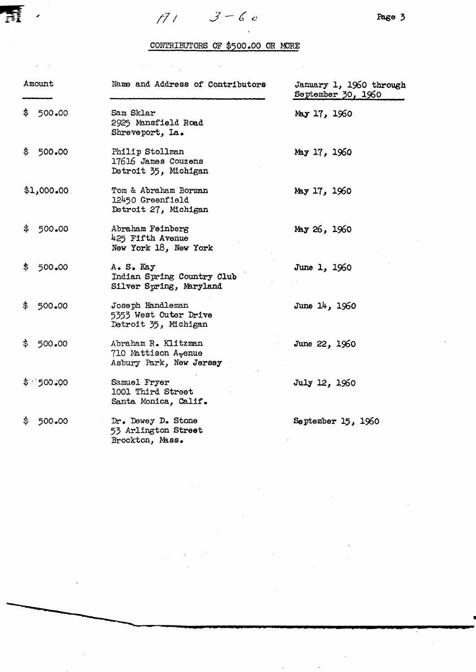

 $\mathcal{L}(\mathcal{A})$  and  $\mathcal{L}(\mathcal{A})$  are the set of the set of  $\mathcal{L}(\mathcal{A})$  . In the set of  $\mathcal{L}(\mathcal{A})$ 

# CONTRIBUTORS OF \$500.00 OR MORE

 $\sim 10$ 

|     | Amount      | Name and Address of Contributors                                                   | January 1, 1960 through<br>September 30, 1960 |
|-----|-------------|------------------------------------------------------------------------------------|-----------------------------------------------|
|     | \$500.00    | Sam Sklar<br>2925 Mansfield Road<br>Shreveport, La.                                | May $17, 1960$                                |
| \$  | 500.00      | Philip Stollman<br>17616 James Couzens<br>Detroit 35, Michigan                     | May 17, 1960                                  |
|     | \$1,000.00  | Tom & Abraham Borman<br>12450 Greenfield<br>Detroit 27, Michigan                   | May 17, 1960                                  |
|     | \$500.00    | Abraham Feinberg<br>425 Fifth Avenue<br>New York 18, New York                      | My 26, 1960                                   |
| \$. | 500.00      | A. S. Kay<br>Indian Spring Country Club<br>Silver Spring, Maryland                 | June 1, 1960                                  |
| \$  | 500.00      | Joseph Handleman<br>5353 West Outer Drive<br>Detroit 35, Michigan                  | June 14, 1960                                 |
| \$  | 500.00      | Abraham R. Klitzman<br>710 Mattison A <sub>v</sub> enue<br>Asbury Park, New Jersey | June 22, 1960                                 |
|     | \$ा 500. 00 | Samuel Fryer<br>1001 Third Street<br>Santa Monica, Calif.                          | July 12, 1960                                 |
| \$  | 500.00      | Dr. Dewey D. Stone<br>53 Arlington Street<br>Brockton, Mass.                       | September $15, 1960$                          |

 $\sim$   $\sim$ 

 $\frac{1}{2} \sum_{i=1}^n \frac{1}{2} \left( \frac{1}{2} \right)^2$ 

 $\label{eq:2.1} \frac{1}{\sqrt{2}}\left(\frac{1}{\sqrt{2}}\right)^{2} \left(\frac{1}{\sqrt{2}}\right)^{2} \left(\frac{1}{\sqrt{2}}\right)^{2} \left(\frac{1}{\sqrt{2}}\right)^{2} \left(\frac{1}{\sqrt{2}}\right)^{2} \left(\frac{1}{\sqrt{2}}\right)^{2} \left(\frac{1}{\sqrt{2}}\right)^{2} \left(\frac{1}{\sqrt{2}}\right)^{2} \left(\frac{1}{\sqrt{2}}\right)^{2} \left(\frac{1}{\sqrt{2}}\right)^{2} \left(\frac{1}{\sqrt{2}}\right)^{2} \left(\$ 

 $\sim 10$ 

 $\mathcal{L}_{\text{max}}$  and  $\mathcal{L}_{\text{max}}$ 

 $\label{eq:1.1} \frac{\partial^2 f}{\partial x^2} = \frac{1}{2} \left( \frac{\partial f}{\partial x^2} + \frac{\partial f}{\partial y^2} + \frac{\partial f}{\partial z^2} \right) \, .$